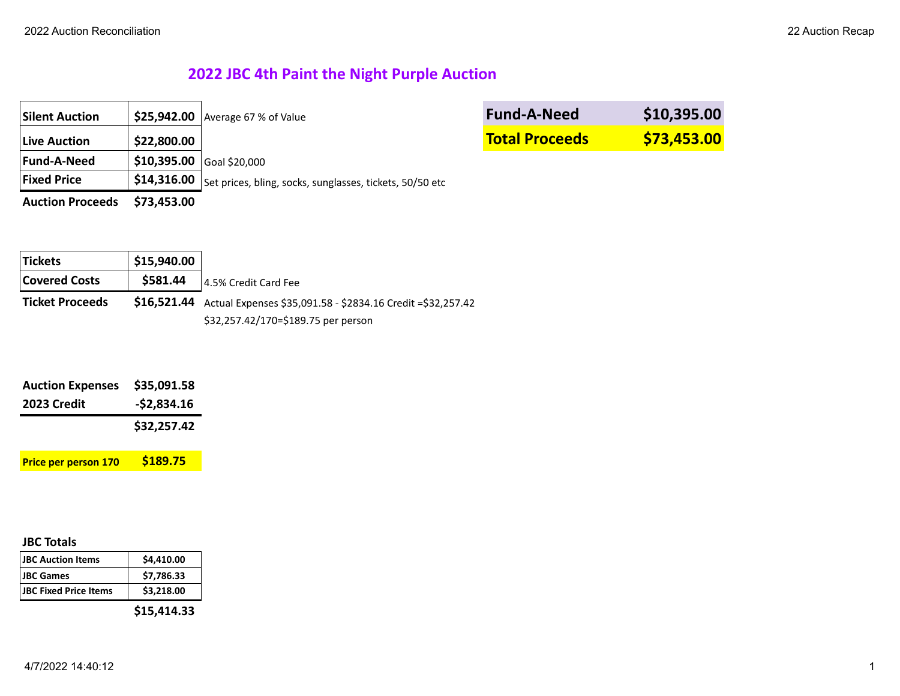# **2022 JBC 4th Paint the Night Purple Auction**

| <b>Silent Auction</b>   |                            | $$25,942.00$ Average 67 % of Value                                                 | <b>Fund-A-Need</b>    | \$10,395.00 |
|-------------------------|----------------------------|------------------------------------------------------------------------------------|-----------------------|-------------|
| <b>Live Auction</b>     | \$22,800.00                |                                                                                    | <b>Total Proceeds</b> | \$73,453.00 |
| <b>Fund-A-Need</b>      | $$10,395.00$ Goal \$20,000 |                                                                                    |                       |             |
| <b>Fixed Price</b>      |                            | $\frac{1}{2}$ \$14,316.00 Set prices, bling, socks, sunglasses, tickets, 50/50 etc |                       |             |
| <b>Auction Proceeds</b> | \$73,453.00                |                                                                                    |                       |             |

| <b>Tickets</b>         | \$15,940.00 |                                                                           |
|------------------------|-------------|---------------------------------------------------------------------------|
| <b>Covered Costs</b>   | \$581.44    | 14.5% Credit Card Fee                                                     |
| <b>Ticket Proceeds</b> |             | $$16,521.44$ Actual Expenses \$35,091.58 - \$2834.16 Credit = \$32,257.42 |
|                        |             | \$32,257.42/170=\$189.75 per person                                       |

| <b>Auction Expenses</b>     | \$35,091.58  |
|-----------------------------|--------------|
| 2023 Credit                 | $-52,834.16$ |
|                             | \$32,257.42  |
| <b>Price per person 170</b> | \$189.75     |

# **JBC Totals**

| <b>JBC Auction Items</b>     | \$4,410.00 |
|------------------------------|------------|
| <b>JBC</b> Games             | \$7,786.33 |
| <b>JBC Fixed Price Items</b> | \$3,218.00 |
|                              |            |

**\$15,414.33**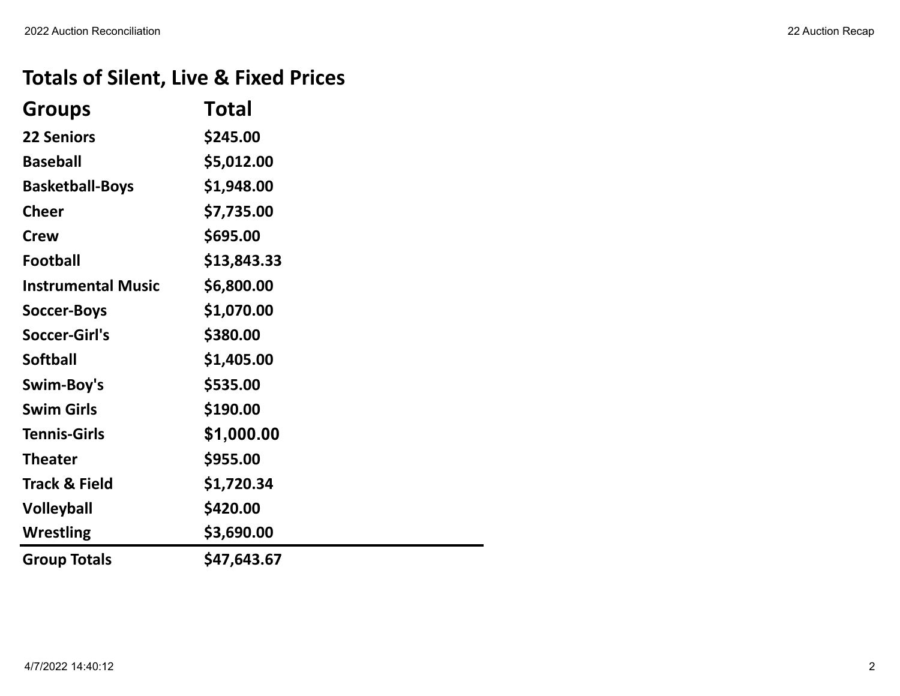# **Totals of Silent, Live & Fixed Prices**

| <b>Groups</b>             | Total       |
|---------------------------|-------------|
| <b>22 Seniors</b>         | \$245.00    |
| <b>Baseball</b>           | \$5,012.00  |
| <b>Basketball-Boys</b>    | \$1,948.00  |
| <b>Cheer</b>              | \$7,735.00  |
| <b>Crew</b>               | \$695.00    |
| <b>Football</b>           | \$13,843.33 |
| <b>Instrumental Music</b> | \$6,800.00  |
| <b>Soccer-Boys</b>        | \$1,070.00  |
| Soccer-Girl's             | \$380.00    |
| <b>Softball</b>           | \$1,405.00  |
| Swim-Boy's                | \$535.00    |
| <b>Swim Girls</b>         | \$190.00    |
| <b>Tennis-Girls</b>       | \$1,000.00  |
| <b>Theater</b>            | \$955.00    |
| <b>Track &amp; Field</b>  | \$1,720.34  |
| <b>Volleyball</b>         | \$420.00    |
| <b>Wrestling</b>          | \$3,690.00  |
| <b>Group Totals</b>       | \$47,643.67 |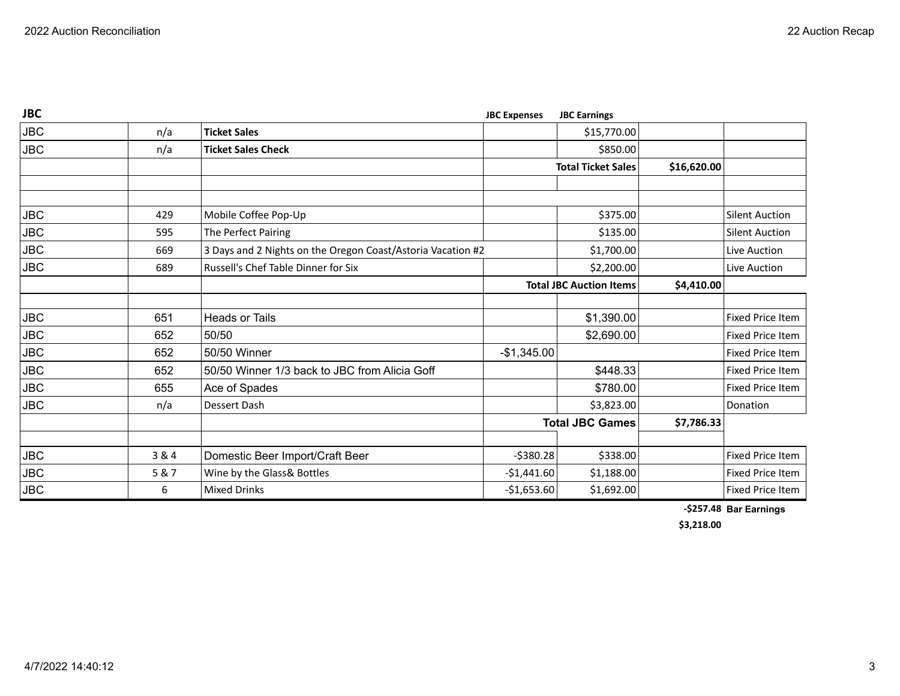| <b>JBC</b> |       |                                                             | <b>JBC Expenses</b> | <b>JBC Earnings</b>            |             |                         |
|------------|-------|-------------------------------------------------------------|---------------------|--------------------------------|-------------|-------------------------|
| <b>JBC</b> | n/a   | <b>Ticket Sales</b>                                         |                     | \$15,770.00                    |             |                         |
| <b>JBC</b> | n/a   | <b>Ticket Sales Check</b>                                   |                     | \$850.00                       |             |                         |
|            |       |                                                             |                     | <b>Total Ticket Sales</b>      | \$16,620.00 |                         |
|            |       |                                                             |                     |                                |             |                         |
|            |       |                                                             |                     |                                |             |                         |
| <b>JBC</b> | 429   | Mobile Coffee Pop-Up                                        |                     | \$375.00                       |             | <b>Silent Auction</b>   |
| <b>JBC</b> | 595   | The Perfect Pairing                                         |                     | \$135.00                       |             | <b>Silent Auction</b>   |
| <b>JBC</b> | 669   | 3 Days and 2 Nights on the Oregon Coast/Astoria Vacation #2 |                     | \$1,700.00                     |             | Live Auction            |
| <b>JBC</b> | 689   | Russell's Chef Table Dinner for Six                         |                     | \$2,200.00                     |             | Live Auction            |
|            |       |                                                             |                     | <b>Total JBC Auction Items</b> | \$4,410.00  |                         |
|            |       |                                                             |                     |                                |             |                         |
| <b>JBC</b> | 651   | <b>Heads or Tails</b>                                       |                     | \$1,390.00                     |             | <b>Fixed Price Item</b> |
| <b>JBC</b> | 652   | 50/50                                                       |                     | \$2,690.00                     |             | <b>Fixed Price Item</b> |
| JBC        | 652   | 50/50 Winner                                                | $-$1,345.00$        |                                |             | Fixed Price Item        |
| <b>JBC</b> | 652   | 50/50 Winner 1/3 back to JBC from Alicia Goff               |                     | \$448.33                       |             | <b>Fixed Price Item</b> |
| JBC        | 655   | Ace of Spades                                               |                     | \$780.00                       |             | <b>Fixed Price Item</b> |
| <b>JBC</b> | n/a   | <b>Dessert Dash</b>                                         |                     | \$3,823.00                     |             | Donation                |
|            |       |                                                             |                     | <b>Total JBC Games</b>         | \$7,786.33  |                         |
|            |       |                                                             |                     |                                |             |                         |
| <b>JBC</b> | 3 & 4 | Domestic Beer Import/Craft Beer                             | $-5380.28$          | \$338.00                       |             | <b>Fixed Price Item</b> |
| <b>JBC</b> | 5 & 7 | Wine by the Glass& Bottles                                  | $-$1,441.60$        | \$1,188.00                     |             | <b>Fixed Price Item</b> |
| JBC        | 6     | <b>Mixed Drinks</b>                                         | $-$1,653.60$        | \$1,692.00                     |             | Fixed Price Item        |

**-\$257.48 Bar Earnings**

**\$3,218.00**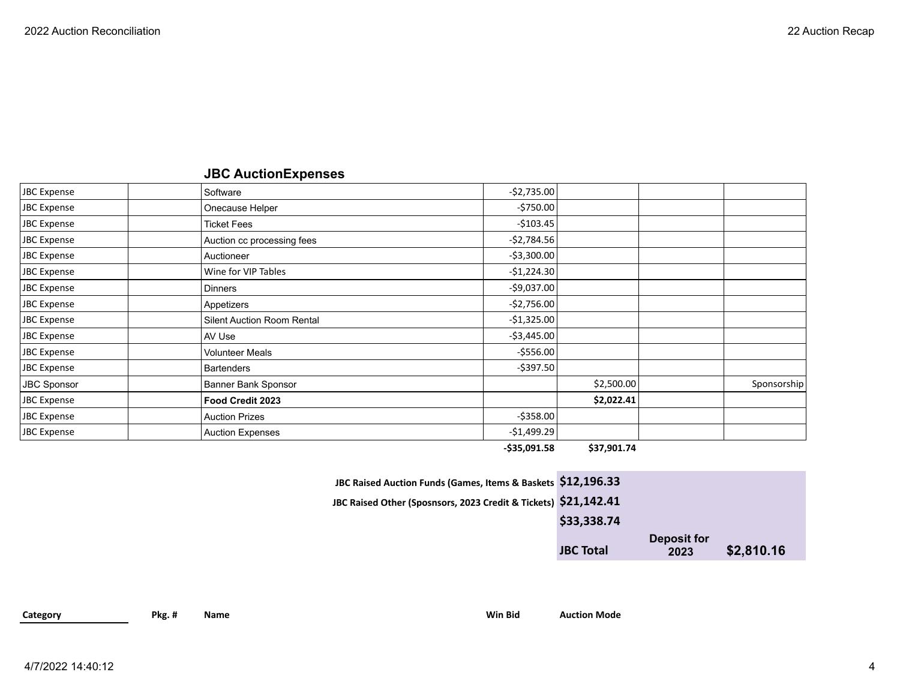# **JBC AuctionExpenses**

| JBC Expense        | Software                          | $-52,735.00$   |            |             |
|--------------------|-----------------------------------|----------------|------------|-------------|
| JBC Expense        | Onecause Helper                   | $-5750.00$     |            |             |
| JBC Expense        | <b>Ticket Fees</b>                | $-5103.45$     |            |             |
| JBC Expense        | Auction cc processing fees        | $-52,784.56$   |            |             |
| JBC Expense        | Auctioneer                        | $-$ \$3,300.00 |            |             |
| JBC Expense        | Wine for VIP Tables               | $-51,224.30$   |            |             |
| JBC Expense        | <b>Dinners</b>                    | $-$9,037.00$   |            |             |
| JBC Expense        | Appetizers                        | $-52,756.00$   |            |             |
| JBC Expense        | <b>Silent Auction Room Rental</b> | $-$1,325.00$   |            |             |
| JBC Expense        | AV Use                            | $-53,445.00$   |            |             |
| JBC Expense        | <b>Volunteer Meals</b>            | $-5556.00$     |            |             |
| JBC Expense        | <b>Bartenders</b>                 | $-$ \$397.50   |            |             |
| <b>JBC Sponsor</b> | Banner Bank Sponsor               |                | \$2,500.00 | Sponsorship |
| JBC Expense        | Food Credit 2023                  |                | \$2,022.41 |             |
| JBC Expense        | <b>Auction Prizes</b>             | $-5358.00$     |            |             |
| JBC Expense        | <b>Auction Expenses</b>           | $-$1,499.29$   |            |             |

**-\$35,091.58 \$37,901.74**

| JBC Raised Auction Funds (Games, Items & Baskets \$12,196.33                               |                  |                            |            |  |
|--------------------------------------------------------------------------------------------|------------------|----------------------------|------------|--|
| JBC Raised Other (Sposnsors, 2023 Credit & Tickets) $\left  \text{\^{521,142.41}} \right $ |                  |                            |            |  |
|                                                                                            | \$33,338.74      |                            |            |  |
|                                                                                            | <b>JBC Total</b> | <b>Deposit for</b><br>2023 | \$2,810.16 |  |
|                                                                                            |                  |                            |            |  |

**Category Pkg. # Name Win Bid Auction Mode**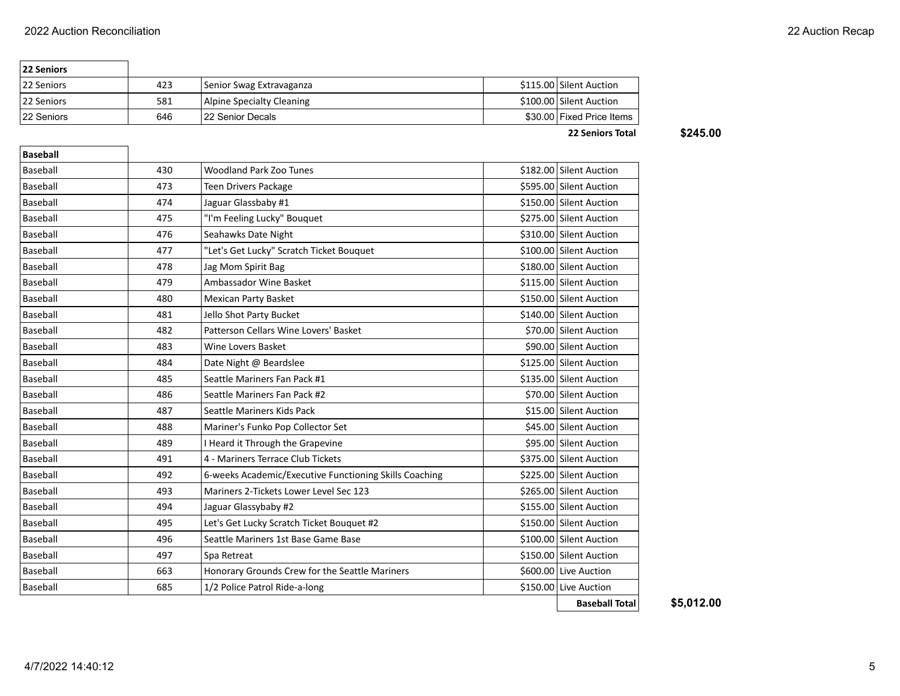٦

| <b>22 Seniors</b> |     |                           |                           |
|-------------------|-----|---------------------------|---------------------------|
| 22 Seniors        | 423 | Senior Swag Extravaganza  | \$115.00 Silent Auction   |
| 22 Seniors        | 581 | Alpine Specialty Cleaning | \$100.00 Silent Auction   |
| 22 Seniors        | 646 | 122 Senior Decals         | \$30,00 Fixed Price Items |

**22 Seniors Total** 

| \$245.00 |  |
|----------|--|
|----------|--|

| <b>Baseball</b> |     |                                                        |                         |
|-----------------|-----|--------------------------------------------------------|-------------------------|
| Baseball        | 430 | <b>Woodland Park Zoo Tunes</b>                         | \$182.00 Silent Auction |
| Baseball        | 473 | <b>Teen Drivers Package</b>                            | \$595.00 Silent Auction |
| Baseball        | 474 | Jaguar Glassbaby #1                                    | \$150.00 Silent Auction |
| <b>Baseball</b> | 475 | "I'm Feeling Lucky" Bouquet                            | \$275.00 Silent Auction |
| <b>Baseball</b> | 476 | Seahawks Date Night                                    | \$310.00 Silent Auction |
| <b>Baseball</b> | 477 | "Let's Get Lucky" Scratch Ticket Bouquet               | \$100.00 Silent Auction |
| Baseball        | 478 | Jag Mom Spirit Bag                                     | \$180.00 Silent Auction |
| <b>Baseball</b> | 479 | Ambassador Wine Basket                                 | \$115.00 Silent Auction |
| Baseball        | 480 | <b>Mexican Party Basket</b>                            | \$150.00 Silent Auction |
| <b>Baseball</b> | 481 | Jello Shot Party Bucket                                | \$140.00 Silent Auction |
| Baseball        | 482 | Patterson Cellars Wine Lovers' Basket                  | \$70.00 Silent Auction  |
| <b>Baseball</b> | 483 | Wine Lovers Basket                                     | \$90.00 Silent Auction  |
| <b>Baseball</b> | 484 | Date Night @ Beardslee                                 | \$125.00 Silent Auction |
| Baseball        | 485 | Seattle Mariners Fan Pack #1                           | \$135.00 Silent Auction |
| <b>Baseball</b> | 486 | Seattle Mariners Fan Pack #2                           | \$70.00 Silent Auction  |
| <b>Baseball</b> | 487 | Seattle Mariners Kids Pack                             | \$15.00 Silent Auction  |
| <b>Baseball</b> | 488 | Mariner's Funko Pop Collector Set                      | \$45.00 Silent Auction  |
| <b>Baseball</b> | 489 | I Heard it Through the Grapevine                       | \$95.00 Silent Auction  |
| Baseball        | 491 | 4 - Mariners Terrace Club Tickets                      | \$375.00 Silent Auction |
| <b>Baseball</b> | 492 | 6-weeks Academic/Executive Functioning Skills Coaching | \$225.00 Silent Auction |
| <b>Baseball</b> | 493 | Mariners 2-Tickets Lower Level Sec 123                 | \$265.00 Silent Auction |
| Baseball        | 494 | Jaguar Glassybaby #2                                   | \$155.00 Silent Auction |
| Baseball        | 495 | Let's Get Lucky Scratch Ticket Bouquet #2              | \$150.00 Silent Auction |
| <b>Baseball</b> | 496 | Seattle Mariners 1st Base Game Base                    | \$100.00 Silent Auction |
| Baseball        | 497 | Spa Retreat                                            | \$150.00 Silent Auction |
| Baseball        | 663 | Honorary Grounds Crew for the Seattle Mariners         | \$600.00 Live Auction   |
| Baseball        | 685 | 1/2 Police Patrol Ride-a-long                          | \$150.00 Live Auction   |
|                 |     |                                                        | <b>Baseball Total</b>   |

**Baseball Total \$5,012.00**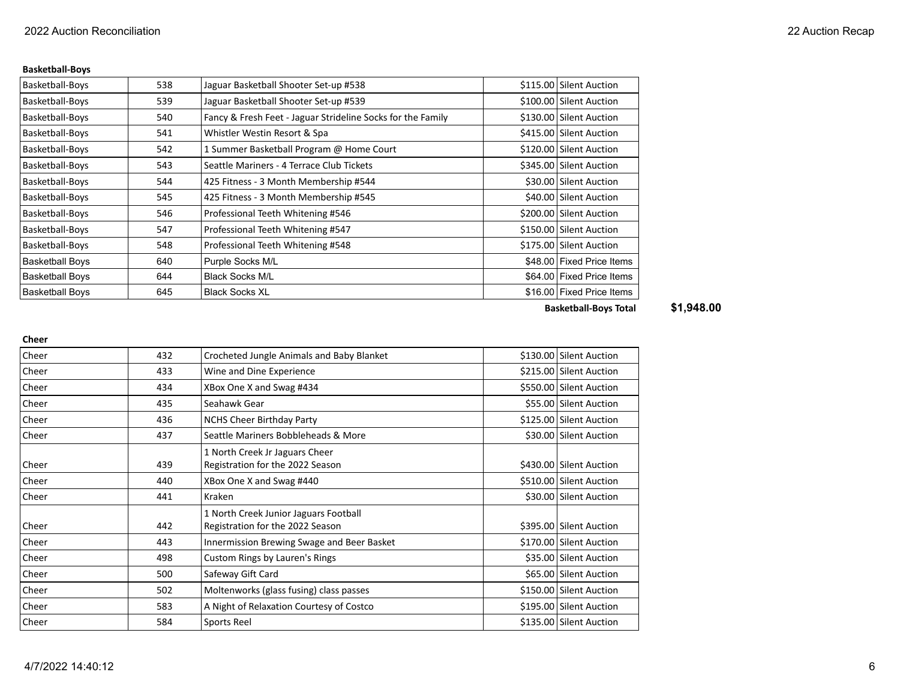### **Basketball-Boys**

| Basketball-Boys        | 538 | Jaguar Basketball Shooter Set-up #538                       | \$115.00 Silent Auction   |
|------------------------|-----|-------------------------------------------------------------|---------------------------|
| Basketball-Boys        | 539 | Jaguar Basketball Shooter Set-up #539                       | \$100.00 Silent Auction   |
| Basketball-Boys        | 540 | Fancy & Fresh Feet - Jaguar Strideline Socks for the Family | \$130.00 Silent Auction   |
| Basketball-Boys        | 541 | Whistler Westin Resort & Spa                                | \$415.00 Silent Auction   |
| Basketball-Boys        | 542 | 1 Summer Basketball Program @ Home Court                    | \$120.00 Silent Auction   |
| Basketball-Boys        | 543 | Seattle Mariners - 4 Terrace Club Tickets                   | \$345.00 Silent Auction   |
| Basketball-Boys        | 544 | 425 Fitness - 3 Month Membership #544                       | \$30.00 Silent Auction    |
| Basketball-Boys        | 545 | 425 Fitness - 3 Month Membership #545                       | \$40.00 Silent Auction    |
| Basketball-Boys        | 546 | Professional Teeth Whitening #546                           | \$200.00 Silent Auction   |
| Basketball-Boys        | 547 | Professional Teeth Whitening #547                           | \$150.00 Silent Auction   |
| Basketball-Boys        | 548 | Professional Teeth Whitening #548                           | \$175.00 Silent Auction   |
| <b>Basketball Boys</b> | 640 | Purple Socks M/L                                            | \$48.00 Fixed Price Items |
| <b>Basketball Boys</b> | 644 | <b>Black Socks M/L</b>                                      | \$64.00 Fixed Price Items |
| <b>Basketball Boys</b> | 645 | <b>Black Socks XL</b>                                       | \$16,00 Fixed Price Items |

**Basketball-Boys Total \$1,948.00**

#### **Cheer**

| Cheer | 432 | Crocheted Jungle Animals and Baby Blanket                                 | \$130.00 Silent Auction |
|-------|-----|---------------------------------------------------------------------------|-------------------------|
| Cheer | 433 | Wine and Dine Experience                                                  | \$215.00 Silent Auction |
| Cheer | 434 | XBox One X and Swag #434                                                  | \$550.00 Silent Auction |
| Cheer | 435 | Seahawk Gear                                                              | \$55.00 Silent Auction  |
| Cheer | 436 | <b>NCHS Cheer Birthday Party</b>                                          | \$125.00 Silent Auction |
| Cheer | 437 | Seattle Mariners Bobbleheads & More                                       | \$30.00 Silent Auction  |
| Cheer | 439 | 1 North Creek Jr Jaguars Cheer<br>Registration for the 2022 Season        | \$430.00 Silent Auction |
| Cheer | 440 | XBox One X and Swag #440                                                  | \$510.00 Silent Auction |
| Cheer | 441 | Kraken                                                                    | \$30.00 Silent Auction  |
| Cheer | 442 | 1 North Creek Junior Jaguars Football<br>Registration for the 2022 Season | \$395.00 Silent Auction |
| Cheer | 443 | Innermission Brewing Swage and Beer Basket                                | \$170.00 Silent Auction |
| Cheer | 498 | Custom Rings by Lauren's Rings                                            | \$35.00 Silent Auction  |
| Cheer | 500 | Safeway Gift Card                                                         | \$65.00 Silent Auction  |
| Cheer | 502 | Moltenworks (glass fusing) class passes                                   | \$150.00 Silent Auction |
| Cheer | 583 | A Night of Relaxation Courtesy of Costco                                  | \$195.00 Silent Auction |
| Cheer | 584 | Sports Reel                                                               | \$135.00 Silent Auction |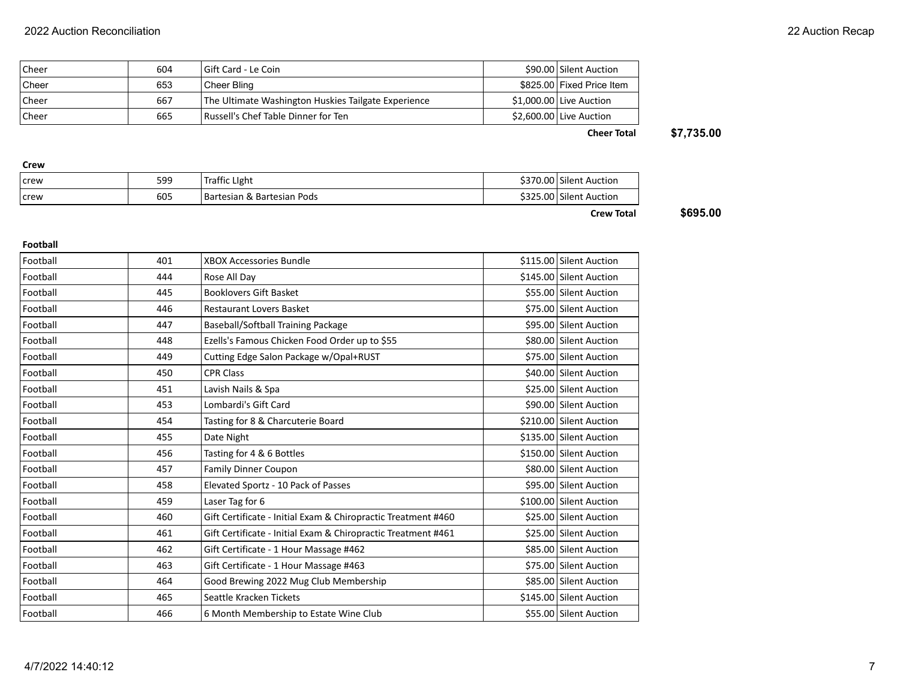| <b>Cheer</b> | 604 | I Gift Card - Le Coin                               | \$90.00 Silent Auction    |
|--------------|-----|-----------------------------------------------------|---------------------------|
| <b>Cheer</b> | 653 | Cheer Bling                                         | \$825.00 Fixed Price Item |
| <b>Cheer</b> | 667 | The Ultimate Washington Huskies Tailgate Experience | \$1,000.00 Live Auction   |
| l Cheer      | 665 | <b>Russell's Chef Table Dinner for Ten</b>          | \$2,600.00 Live Auction   |

**Cheer Total \$7,735.00**

| Crew          |     |                            |                         |
|---------------|-----|----------------------------|-------------------------|
| <b>I</b> crew | 599 | Traffic Light              | \$370.00 Silent Auction |
| crew          | 605 | Bartesian & Bartesian Pods | \$325.00 Silent Auction |
|               |     |                            |                         |

**Crew Total \$695.00**

### **Football**

| Football | 401 | <b>XBOX Accessories Bundle</b>                                | \$115.00 Silent Auction |
|----------|-----|---------------------------------------------------------------|-------------------------|
| Football | 444 | Rose All Day                                                  | \$145.00 Silent Auction |
| Football | 445 | <b>Booklovers Gift Basket</b>                                 | \$55.00 Silent Auction  |
| Football | 446 | <b>Restaurant Lovers Basket</b>                               | \$75.00 Silent Auction  |
| Football | 447 | Baseball/Softball Training Package                            | \$95.00 Silent Auction  |
| Football | 448 | Ezells's Famous Chicken Food Order up to \$55                 | \$80.00 Silent Auction  |
| Football | 449 | Cutting Edge Salon Package w/Opal+RUST                        | \$75.00 Silent Auction  |
| Football | 450 | <b>CPR Class</b>                                              | \$40.00 Silent Auction  |
| Football | 451 | Lavish Nails & Spa                                            | \$25.00 Silent Auction  |
| Football | 453 | Lombardi's Gift Card                                          | \$90.00 Silent Auction  |
| Football | 454 | Tasting for 8 & Charcuterie Board                             | \$210.00 Silent Auction |
| Football | 455 | Date Night                                                    | \$135.00 Silent Auction |
| Football | 456 | Tasting for 4 & 6 Bottles                                     | \$150.00 Silent Auction |
| Football | 457 | <b>Family Dinner Coupon</b>                                   | \$80.00 Silent Auction  |
| Football | 458 | Elevated Sportz - 10 Pack of Passes                           | \$95.00 Silent Auction  |
| Football | 459 | Laser Tag for 6                                               | \$100.00 Silent Auction |
| Football | 460 | Gift Certificate - Initial Exam & Chiropractic Treatment #460 | \$25.00 Silent Auction  |
| Football | 461 | Gift Certificate - Initial Exam & Chiropractic Treatment #461 | \$25.00 Silent Auction  |
| Football | 462 | Gift Certificate - 1 Hour Massage #462                        | \$85.00 Silent Auction  |
| Football | 463 | Gift Certificate - 1 Hour Massage #463                        | \$75.00 Silent Auction  |
| Football | 464 | Good Brewing 2022 Mug Club Membership                         | \$85.00 Silent Auction  |
| Football | 465 | Seattle Kracken Tickets                                       | \$145.00 Silent Auction |
| Football | 466 | 6 Month Membership to Estate Wine Club                        | \$55.00 Silent Auction  |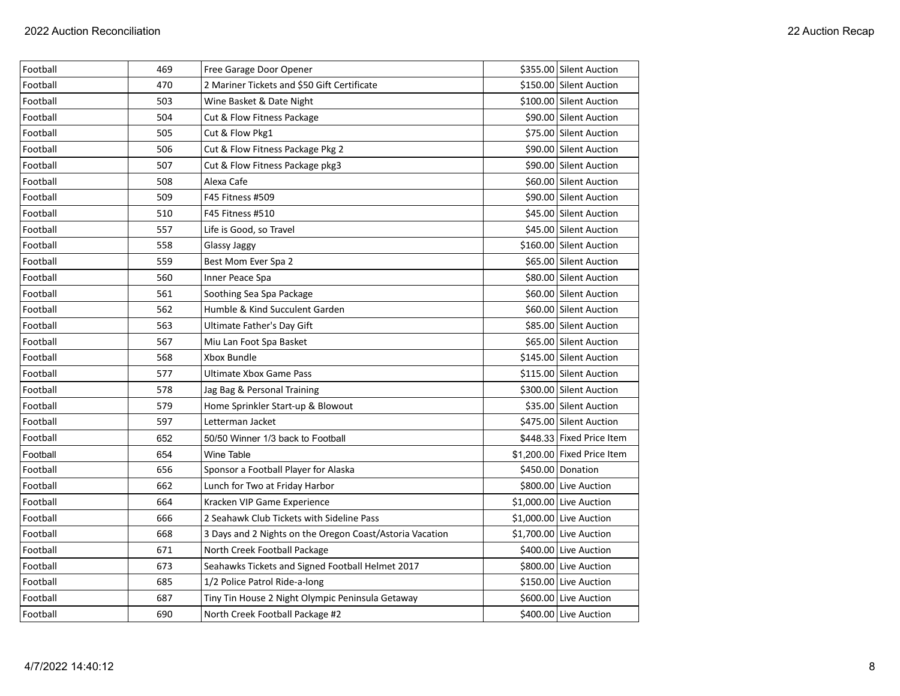| Football | 469 | Free Garage Door Opener                                  | \$355.00 Silent Auction     |
|----------|-----|----------------------------------------------------------|-----------------------------|
| Football | 470 | 2 Mariner Tickets and \$50 Gift Certificate              | \$150.00 Silent Auction     |
| Football | 503 | Wine Basket & Date Night                                 | \$100.00 Silent Auction     |
| Football | 504 | Cut & Flow Fitness Package                               | \$90.00 Silent Auction      |
| Football | 505 | Cut & Flow Pkg1                                          | \$75.00 Silent Auction      |
| Football | 506 | Cut & Flow Fitness Package Pkg 2                         | \$90.00 Silent Auction      |
| Football | 507 | Cut & Flow Fitness Package pkg3                          | \$90.00 Silent Auction      |
| Football | 508 | Alexa Cafe                                               | \$60.00 Silent Auction      |
| Football | 509 | F45 Fitness #509                                         | \$90.00 Silent Auction      |
| Football | 510 | F45 Fitness #510                                         | \$45.00 Silent Auction      |
| Football | 557 | Life is Good, so Travel                                  | \$45.00 Silent Auction      |
| Football | 558 | <b>Glassy Jaggy</b>                                      | \$160.00 Silent Auction     |
| Football | 559 | Best Mom Ever Spa 2                                      | \$65.00 Silent Auction      |
| Football | 560 | Inner Peace Spa                                          | \$80.00 Silent Auction      |
| Football | 561 | Soothing Sea Spa Package                                 | \$60.00 Silent Auction      |
| Football | 562 | Humble & Kind Succulent Garden                           | \$60.00 Silent Auction      |
| Football | 563 | Ultimate Father's Day Gift                               | \$85.00 Silent Auction      |
| Football | 567 | Miu Lan Foot Spa Basket                                  | \$65.00 Silent Auction      |
| Football | 568 | Xbox Bundle                                              | \$145.00 Silent Auction     |
| Football | 577 | Ultimate Xbox Game Pass                                  | \$115.00 Silent Auction     |
| Football | 578 | Jag Bag & Personal Training                              | \$300.00 Silent Auction     |
| Football | 579 | Home Sprinkler Start-up & Blowout                        | \$35.00 Silent Auction      |
| Football | 597 | Letterman Jacket                                         | \$475.00   Silent Auction   |
| Football | 652 | 50/50 Winner 1/3 back to Football                        | \$448.33 Fixed Price Item   |
| Football | 654 | <b>Wine Table</b>                                        | \$1,200.00 Fixed Price Item |
| Football | 656 | Sponsor a Football Player for Alaska                     | \$450.00   Donation         |
| Football | 662 | Lunch for Two at Friday Harbor                           | \$800.00 Live Auction       |
| Football | 664 | Kracken VIP Game Experience                              | $$1,000.00$ Live Auction    |
| Football | 666 | 2 Seahawk Club Tickets with Sideline Pass                | $$1,000.00$ Live Auction    |
| Football | 668 | 3 Days and 2 Nights on the Oregon Coast/Astoria Vacation | \$1,700.00 Live Auction     |
| Football | 671 | North Creek Football Package                             | \$400.00 Live Auction       |
| Football | 673 | Seahawks Tickets and Signed Football Helmet 2017         | \$800.00 Live Auction       |
| Football | 685 | 1/2 Police Patrol Ride-a-long                            | \$150.00 Live Auction       |
| Football | 687 | Tiny Tin House 2 Night Olympic Peninsula Getaway         | \$600.00 Live Auction       |
| Football | 690 | North Creek Football Package #2                          | \$400.00 Live Auction       |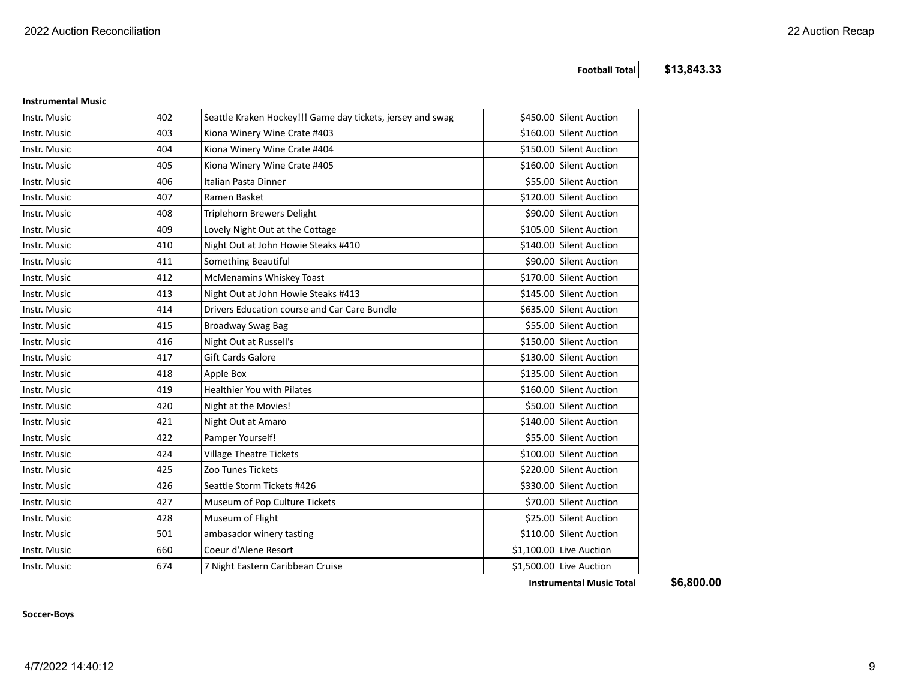**Soccer-Boys**

**Football Total \$13,843.33**

| Instr. Music | 403 | Kiona Winery Wine Crate #403                 | \$160.00 Silent Auction  |
|--------------|-----|----------------------------------------------|--------------------------|
| Instr. Music | 404 | Kiona Winery Wine Crate #404                 | \$150.00 Silent Auction  |
| Instr. Music | 405 | Kiona Winery Wine Crate #405                 | \$160.00 Silent Auction  |
| Instr. Music | 406 | Italian Pasta Dinner                         | \$55.00 Silent Auction   |
| Instr. Music | 407 | Ramen Basket                                 | \$120.00 Silent Auction  |
| Instr. Music | 408 | Triplehorn Brewers Delight                   | \$90.00 Silent Auction   |
| Instr. Music | 409 | Lovely Night Out at the Cottage              | \$105.00 Silent Auction  |
| Instr. Music | 410 | Night Out at John Howie Steaks #410          | \$140.00 Silent Auction  |
| Instr. Music | 411 | Something Beautiful                          | \$90.00 Silent Auction   |
| Instr. Music | 412 | McMenamins Whiskey Toast                     | \$170.00 Silent Auction  |
| Instr. Music | 413 | Night Out at John Howie Steaks #413          | \$145.00 Silent Auction  |
| Instr. Music | 414 | Drivers Education course and Car Care Bundle | \$635.00 Silent Auction  |
| Instr. Music | 415 | Broadway Swag Bag                            | \$55.00 Silent Auction   |
| Instr. Music | 416 | Night Out at Russell's                       | \$150.00 Silent Auction  |
| Instr. Music | 417 | <b>Gift Cards Galore</b>                     | \$130.00 Silent Auction  |
| Instr. Music | 418 | Apple Box                                    | \$135.00 Silent Auction  |
| Instr. Music | 419 | <b>Healthier You with Pilates</b>            | \$160.00 Silent Auction  |
| Instr. Music | 420 | Night at the Movies!                         | \$50.00 Silent Auction   |
| Instr. Music | 421 | Night Out at Amaro                           | \$140.00 Silent Auction  |
| Instr. Music | 422 | Pamper Yourself!                             | \$55.00 Silent Auction   |
| Instr. Music | 424 | <b>Village Theatre Tickets</b>               | \$100.00 Silent Auction  |
| Instr. Music | 425 | Zoo Tunes Tickets                            | \$220.00 Silent Auction  |
| Instr. Music | 426 | Seattle Storm Tickets #426                   | \$330.00 Silent Auction  |
| Instr. Music | 427 | Museum of Pop Culture Tickets                | \$70.00 Silent Auction   |
| Instr. Music | 428 | Museum of Flight                             | \$25.00 Silent Auction   |
| Instr. Music | 501 | ambasador winery tasting                     | \$110.00 Silent Auction  |
| Instr. Music | 660 | Coeur d'Alene Resort                         | $$1,100.00$ Live Auction |

Instr. Music **1.2. Instral Music 1.2. Instrument Caribbean** Cruise **1.500.00** Clive Auction

Instr. Music **1988** A02 Seattle Kraken Hockey!!! Game day tickets, jersey and swag \$450.00 Silent Auction

#### **Instrumental Music**

**Instrumental Music Total \$6,800.00**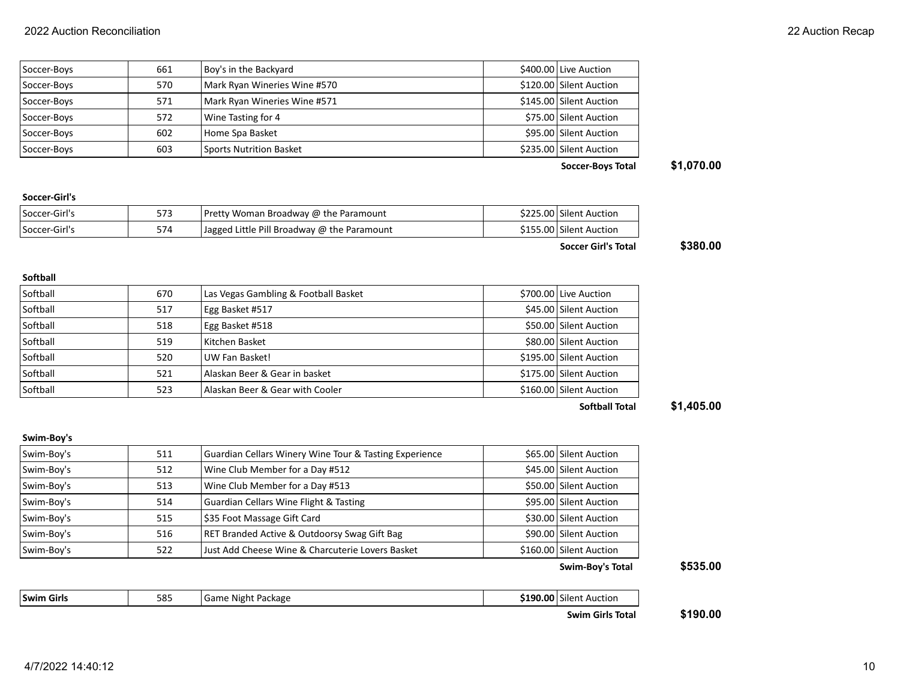|             |     |                                | <b>Soccer-Boys Total</b> | \$1,070,00 |
|-------------|-----|--------------------------------|--------------------------|------------|
| Soccer-Boys | 603 | <b>Sports Nutrition Basket</b> | \$235.00 Silent Auction  |            |
| Soccer-Boys | 602 | Home Spa Basket                | \$95.00 Silent Auction   |            |
| Soccer-Boys | 572 | Wine Tasting for 4             | \$75.00 Silent Auction   |            |
| Soccer-Boys | 571 | Mark Ryan Wineries Wine #571   | \$145.00 Silent Auction  |            |
| Soccer-Boys | 570 | Mark Ryan Wineries Wine #570   | \$120.00 Silent Auction  |            |
| Soccer-Boys | 661 | Boy's in the Backyard          | \$400.00 Live Auction    |            |

### **Soccer-Girl's**

**Softball**

| Soccer-Girl's  | 573 | Pretty Woman Broadway @ the Paramount       | \$225.00 Silent Auction |
|----------------|-----|---------------------------------------------|-------------------------|
| 'Soccer-Girl's | 574 | Jagged Little Pill Broadway @ the Paramount | \$155.00 Silent Auction |

Softball 670 Las Vegas Gambling & Football Basket \$700.00 Live Auction Softball 517 Egg Basket #517 **Egg Basket #517** \$45.00 Silent Auction Softball 518 Egg Basket #518 **Egg Basket #518** \$50.00 Silent Auction Softball 519 Kitchen Basket 580.00 Silent Auction State State State State State State State State State State State State State State State State State State State State State State State State State State State State Stat Softball 520 UW Fan Basket! \$195.00 Silent Auction Softball 521 Alaskan Beer & Gear in basket \$175.00 Silent Auction Softball 523 Alaskan Beer & Gear with Cooler **1998 Alaskan Beer & Gear with Cooler** 500 Silent Auction

**Soccer Girl's Total \$380.00**

## **Softball Total \$1,405.00**

### **Swim-Boy's**

| Swim-Boy's | 511 | Guardian Cellars Winery Wine Tour & Tasting Experience | \$65.00 Silent Auction  |
|------------|-----|--------------------------------------------------------|-------------------------|
| Swim-Boy's | 512 | Wine Club Member for a Day #512                        | \$45.00 Silent Auction  |
| Swim-Boy's | 513 | Wine Club Member for a Day #513                        | \$50.00 Silent Auction  |
| Swim-Boy's | 514 | <b>Guardian Cellars Wine Flight &amp; Tasting</b>      | \$95.00 Silent Auction  |
| Swim-Boy's | 515 | \$35 Foot Massage Gift Card                            | \$30.00 Silent Auction  |
| Swim-Boy's | 516 | RET Branded Active & Outdoorsy Swag Gift Bag           | \$90.00 Silent Auction  |
| Swim-Boy's | 522 | Just Add Cheese Wine & Charcuterie Lovers Basket       | \$160.00 Silent Auction |

**Swim Girls Sachus Community Same Night Package <b>\$190.00** Silent Auction

### **Swim-Boy's Total \$535.00**

### **Swim Girls Total \$190.00**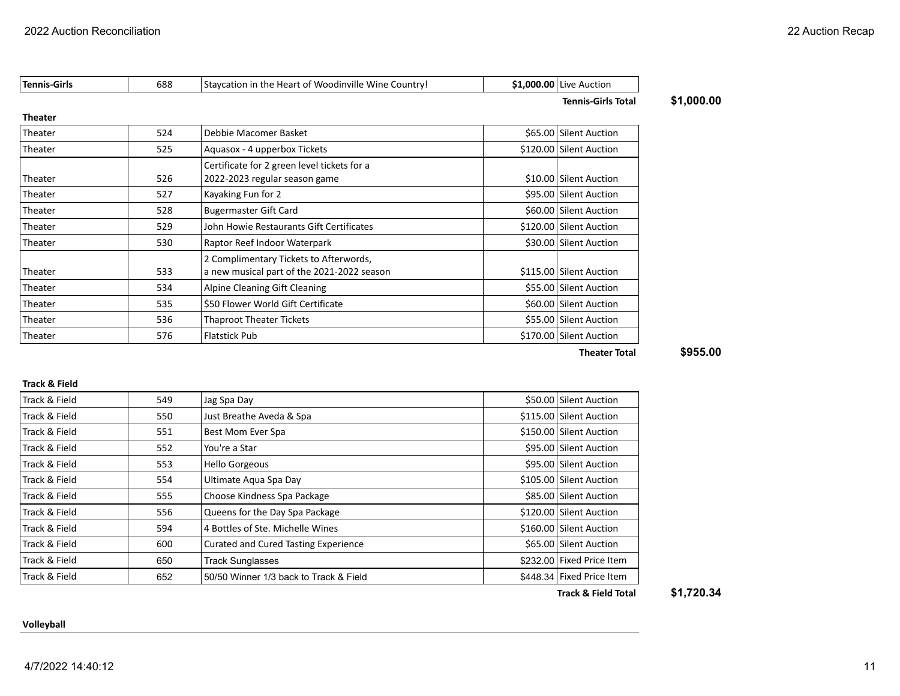| <b>Tennis</b> | 688 | <br>Wine C<br>Country<br>TStavcation in<br>: Heart of Woodinville<br>*he . | നറ<br>ΩC<br>Auction<br><b>LIVE</b> |
|---------------|-----|----------------------------------------------------------------------------|------------------------------------|
|               |     |                                                                            |                                    |

**Tennis-Girls Total \$1,000.00**

#### **Theater**

| Theater | 524 | Debbie Macomer Basket                       | \$65.00 Silent Auction  |
|---------|-----|---------------------------------------------|-------------------------|
| Theater | 525 | Aquasox - 4 upperbox Tickets                | \$120.00 Silent Auction |
|         |     | Certificate for 2 green level tickets for a |                         |
| Theater | 526 | 2022-2023 regular season game               | \$10.00 Silent Auction  |
| Theater | 527 | Kayaking Fun for 2                          | \$95.00 Silent Auction  |
| Theater | 528 | <b>Bugermaster Gift Card</b>                | \$60.00 Silent Auction  |
| Theater | 529 | John Howie Restaurants Gift Certificates    | \$120.00 Silent Auction |
| Theater | 530 | Raptor Reef Indoor Waterpark                | \$30.00 Silent Auction  |
|         |     | 2 Complimentary Tickets to Afterwords,      |                         |
| Theater | 533 | a new musical part of the 2021-2022 season  | \$115.00 Silent Auction |
| Theater | 534 | Alpine Cleaning Gift Cleaning               | \$55.00 Silent Auction  |
| Theater | 535 | \$50 Flower World Gift Certificate          | \$60.00 Silent Auction  |
| Theater | 536 | <b>Thaproot Theater Tickets</b>             | \$55.00 Silent Auction  |
| Theater | 576 | <b>Flatstick Pub</b>                        | \$170.00 Silent Auction |
|         |     |                                             |                         |

**Theater Total \$955.00**

#### **Track & Field**

| Track & Field | 549 | Jag Spa Day                                 | \$50.00 Silent Auction    |
|---------------|-----|---------------------------------------------|---------------------------|
| Track & Field | 550 | Just Breathe Aveda & Spa                    | \$115.00 Silent Auction   |
| Track & Field | 551 | Best Mom Ever Spa                           | \$150.00 Silent Auction   |
| Track & Field | 552 | You're a Star                               | \$95.00 Silent Auction    |
| Track & Field | 553 | <b>Hello Gorgeous</b>                       | \$95.00 Silent Auction    |
| Track & Field | 554 | Ultimate Aqua Spa Day                       | \$105.00 Silent Auction   |
| Track & Field | 555 | Choose Kindness Spa Package                 | \$85.00 Silent Auction    |
| Track & Field | 556 | Queens for the Day Spa Package              | \$120.00 Silent Auction   |
| Track & Field | 594 | 4 Bottles of Ste. Michelle Wines            | \$160.00 Silent Auction   |
| Track & Field | 600 | <b>Curated and Cured Tasting Experience</b> | \$65.00 Silent Auction    |
| Track & Field | 650 | <b>Track Sunglasses</b>                     | \$232.00 Fixed Price Item |
| Track & Field | 652 | 50/50 Winner 1/3 back to Track & Field      | \$448.34 Fixed Price Item |

**Track & Field Total \$1,720.34**

**Volleyball**